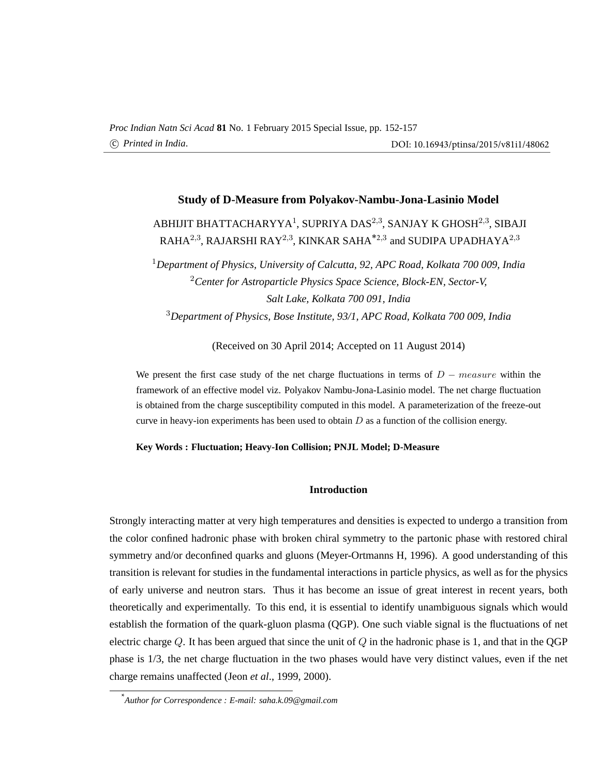# **Study of D-Measure from Polyakov-Nambu-Jona-Lasinio Model**

# ABHIJIT BHATTACHARYYA $^1$ , SUPRIYA DAS $^{2,3}$ , SANJAY K GHOSH $^{2,3}$ , SIBAJI RAHA $^{2,3}$ , RAJARSHI RAY $^{2,3}$ , KINKAR SAHA $^{\ast_{2,3}}$  and SUDIPA UPADHAYA $^{2,3}$

*Department of Physics, University of Calcutta, 92, APC Road, Kolkata 700 009, India Center for Astroparticle Physics Space Science, Block-EN, Sector-V, Salt Lake, Kolkata 700 091, India Department of Physics, Bose Institute, 93/1, APC Road, Kolkata 700 009, India*

(Received on 30 April 2014; Accepted on 11 August 2014)

We present the first case study of the net charge fluctuations in terms of  $D - measure$  within the framework of an effective model viz. Polyakov Nambu-Jona-Lasinio model. The net charge fluctuation is obtained from the charge susceptibility computed in this model. A parameterization of the freeze-out curve in heavy-ion experiments has been used to obtain  $D$  as a function of the collision energy.

#### **Key Words : Fluctuation; Heavy-Ion Collision; PNJL Model; D-Measure**

### **Introduction**

Strongly interacting matter at very high temperatures and densities is expected to undergo a transition from the color confined hadronic phase with broken chiral symmetry to the partonic phase with restored chiral symmetry and/or deconfined quarks and gluons (Meyer-Ortmanns H, 1996). A good understanding of this transition is relevant for studies in the fundamental interactions in particle physics, as well as for the physics of early universe and neutron stars. Thus it has become an issue of great interest in recent years, both theoretically and experimentally. To this end, it is essential to identify unambiguous signals which would establish the formation of the quark-gluon plasma (QGP). One such viable signal is the fluctuations of net electric charge  $Q$ . It has been argued that since the unit of  $Q$  in the hadronic phase is 1, and that in the QGP phase is 1/3, the net charge fluctuation in the two phases would have very distinct values, even if the net charge remains unaffected (Jeon *et al*., 1999, 2000).

<sup>\*</sup>*Author for Correspondence : E-mail: saha.k.09@gmail.com*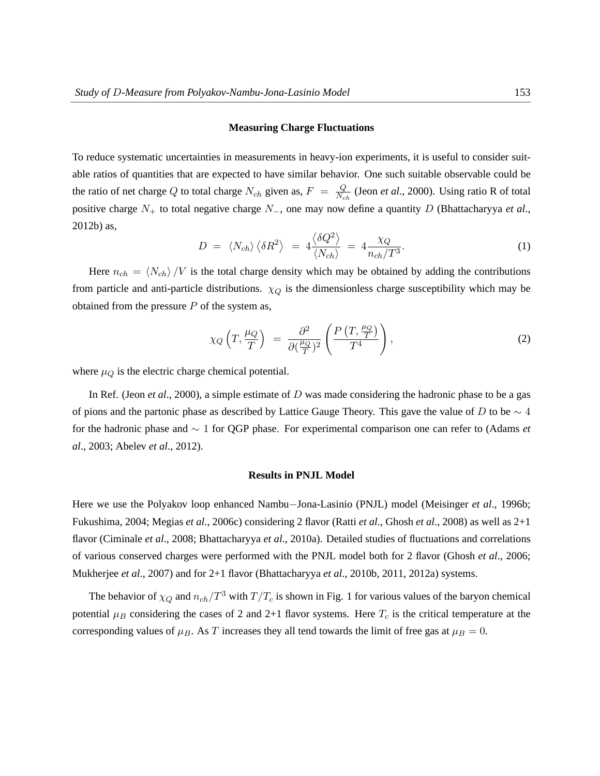#### **Measuring Charge Fluctuations**

To reduce systematic uncertainties in measurements in heavy-ion experiments, it is useful to consider suitable ratios of quantities that are expected to have similar behavior. One such suitable observable could be the ratio of net charge Q to total charge  $N_{ch}$  given as,  $F = \frac{Q}{N_{ch}}$  $\frac{Q}{N_{ch}}$  (Jeon *et al.*, 2000). Using ratio R of total positive charge N<sup>+</sup> to total negative charge N−, one may now define a quantity D (Bhattacharyya *et al*., 2012b) as,  $\overline{1}$ ®

$$
D = \langle N_{ch} \rangle \langle \delta R^2 \rangle = 4 \frac{\langle \delta Q^2 \rangle}{\langle N_{ch} \rangle} = 4 \frac{\chi_Q}{n_{ch}/T^3}.
$$
 (1)

Here  $n_{ch} = \langle N_{ch} \rangle /V$  is the total charge density which may be obtained by adding the contributions from particle and anti-particle distributions.  $\chi_Q$  is the dimensionless charge susceptibility which may be obtained from the pressure  $P$  of the system as,

$$
\chi_Q\left(T,\frac{\mu_Q}{T}\right) \ = \ \frac{\partial^2}{\partial(\frac{\mu_Q}{T})^2} \left(\frac{P\left(T,\frac{\mu_Q}{T}\right)}{T^4}\right),\tag{2}
$$

where  $\mu_Q$  is the electric charge chemical potential.

In Ref. (Jeon *et al*., 2000), a simple estimate of D was made considering the hadronic phase to be a gas of pions and the partonic phase as described by Lattice Gauge Theory. This gave the value of D to be  $\sim$  4 for the hadronic phase and ∼ 1 for QGP phase. For experimental comparison one can refer to (Adams *et al*., 2003; Abelev *et al*., 2012).

#### **Results in PNJL Model**

Here we use the Polyakov loop enhanced Nambu−Jona-Lasinio (PNJL) model (Meisinger *et al*., 1996b; Fukushima, 2004; Megias *et al*., 2006c) considering 2 flavor (Ratti *et al*., Ghosh *et al*., 2008) as well as 2+1 flavor (Ciminale *et al*., 2008; Bhattacharyya *et al*., 2010a). Detailed studies of fluctuations and correlations of various conserved charges were performed with the PNJL model both for 2 flavor (Ghosh *et al*., 2006; Mukherjee *et al*., 2007) and for 2+1 flavor (Bhattacharyya *et al*., 2010b, 2011, 2012a) systems.

The behavior of  $\chi_Q$  and  $n_{ch}/T^3$  with  $T/T_c$  is shown in Fig. 1 for various values of the baryon chemical potential  $\mu_B$  considering the cases of 2 and 2+1 flavor systems. Here  $T_c$  is the critical temperature at the corresponding values of  $\mu_B$ . As T increases they all tend towards the limit of free gas at  $\mu_B = 0$ .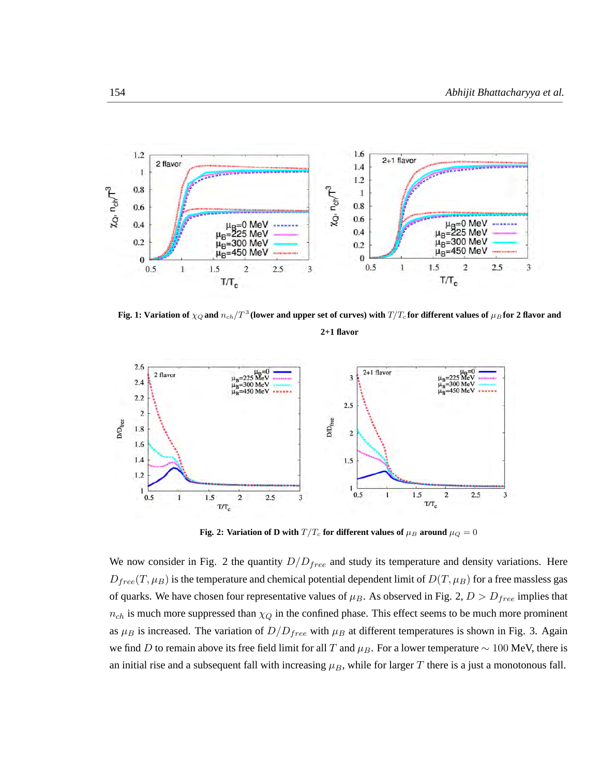

Fig. 1: Variation of  $\chi_Q$  and  $n_{ch}/T^3$  (lower and upper set of curves) with  $T/T_c$  for different values of  $\mu_B$  for 2 flavor and

**2+1 flavor**



**Fig. 2: Variation of D with**  $T/T_c$  for different values of  $\mu_B$  around  $\mu_Q = 0$ 

We now consider in Fig. 2 the quantity  $D/D_{free}$  and study its temperature and density variations. Here  $D_{free}(T,\mu_B)$  is the temperature and chemical potential dependent limit of  $D(T,\mu_B)$  for a free massless gas of quarks. We have chosen four representative values of  $\mu_B$ . As observed in Fig. 2,  $D > D_{free}$  implies that  $n_{ch}$  is much more suppressed than  $\chi_Q$  in the confined phase. This effect seems to be much more prominent as  $\mu_B$  is increased. The variation of  $D/D_{free}$  with  $\mu_B$  at different temperatures is shown in Fig. 3. Again we find D to remain above its free field limit for all T and  $\mu_B$ . For a lower temperature  $\sim 100$  MeV, there is an initial rise and a subsequent fall with increasing  $\mu_B$ , while for larger T there is a just a monotonous fall.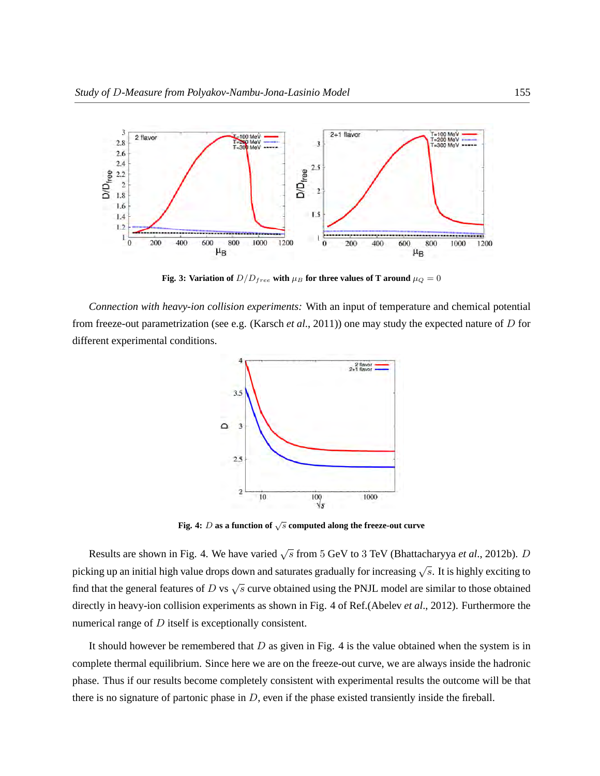

**Fig. 3: Variation of**  $D/D_{free}$  with  $\mu_B$  for three values of T around  $\mu_Q = 0$ 

*Connection with heavy-ion collision experiments:* With an input of temperature and chemical potential from freeze-out parametrization (see e.g. (Karsch *et al*., 2011)) one may study the expected nature of D for different experimental conditions.



**Fig. 4:** <sup>D</sup> **as a function of** <sup>√</sup> s **computed along the freeze-out curve**

Results are shown in Fig. 4. We have varied  $\sqrt{s}$  from 5 GeV to 3 TeV (Bhattacharyya *et al.*, 2012b). *D* picking up an initial high value drops down and saturates gradually for increasing  $\sqrt{s}$ . It is highly exciting to find that the general features of D vs  $\sqrt{s}$  curve obtained using the PNJL model are similar to those obtained directly in heavy-ion collision experiments as shown in Fig. 4 of Ref.(Abelev *et al*., 2012). Furthermore the numerical range of  $D$  itself is exceptionally consistent.

It should however be remembered that  $D$  as given in Fig. 4 is the value obtained when the system is in complete thermal equilibrium. Since here we are on the freeze-out curve, we are always inside the hadronic phase. Thus if our results become completely consistent with experimental results the outcome will be that there is no signature of partonic phase in  $D$ , even if the phase existed transiently inside the fireball.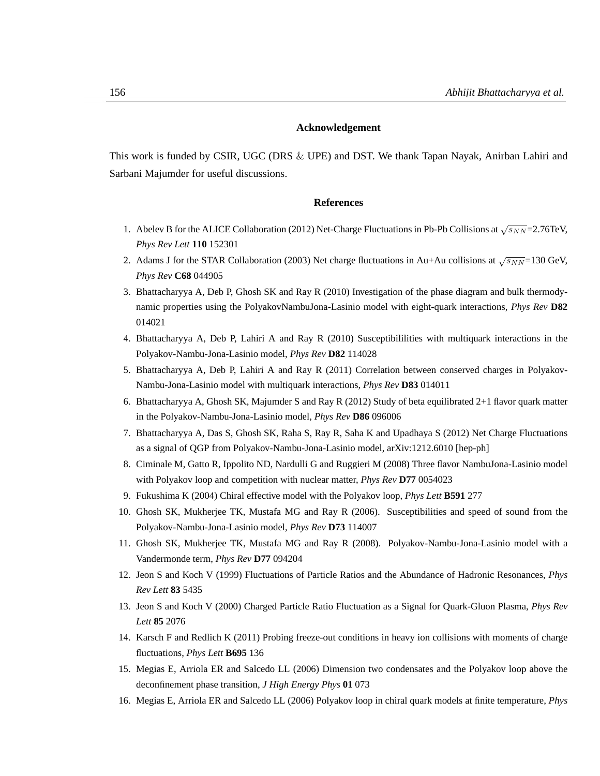# **Acknowledgement**

This work is funded by CSIR, UGC (DRS & UPE) and DST. We thank Tapan Nayak, Anirban Lahiri and Sarbani Majumder for useful discussions.

# **References**

- 1. Abelev B for the ALICE Collaboration (2012) Net-Charge Fluctuations in Pb-Pb Collisions at  $\sqrt{s_{NN}}$ =2.76TeV, *Phys Rev Lett* **110** 152301
- 2. Adams J for the STAR Collaboration (2003) Net charge fluctuations in Au+Au collisions at  $\sqrt{s_{NN}}$ =130 GeV, *Phys Rev* **C68** 044905
- 3. Bhattacharyya A, Deb P, Ghosh SK and Ray R (2010) Investigation of the phase diagram and bulk thermodynamic properties using the PolyakovNambuJona-Lasinio model with eight-quark interactions, *Phys Rev* **D82** 014021
- 4. Bhattacharyya A, Deb P, Lahiri A and Ray R (2010) Susceptibililities with multiquark interactions in the Polyakov-Nambu-Jona-Lasinio model, *Phys Rev* **D82** 114028
- 5. Bhattacharyya A, Deb P, Lahiri A and Ray R (2011) Correlation between conserved charges in Polyakov-Nambu-Jona-Lasinio model with multiquark interactions, *Phys Rev* **D83** 014011
- 6. Bhattacharyya A, Ghosh SK, Majumder S and Ray R (2012) Study of beta equilibrated 2+1 flavor quark matter in the Polyakov-Nambu-Jona-Lasinio model, *Phys Rev* **D86** 096006
- 7. Bhattacharyya A, Das S, Ghosh SK, Raha S, Ray R, Saha K and Upadhaya S (2012) Net Charge Fluctuations as a signal of QGP from Polyakov-Nambu-Jona-Lasinio model, arXiv:1212.6010 [hep-ph]
- 8. Ciminale M, Gatto R, Ippolito ND, Nardulli G and Ruggieri M (2008) Three flavor NambuJona-Lasinio model with Polyakov loop and competition with nuclear matter, *Phys Rev* **D77** 0054023
- 9. Fukushima K (2004) Chiral effective model with the Polyakov loop, *Phys Lett* **B591** 277
- 10. Ghosh SK, Mukherjee TK, Mustafa MG and Ray R (2006). Susceptibilities and speed of sound from the Polyakov-Nambu-Jona-Lasinio model, *Phys Rev* **D73** 114007
- 11. Ghosh SK, Mukherjee TK, Mustafa MG and Ray R (2008). Polyakov-Nambu-Jona-Lasinio model with a Vandermonde term, *Phys Rev* **D77** 094204
- 12. Jeon S and Koch V (1999) Fluctuations of Particle Ratios and the Abundance of Hadronic Resonances, *Phys Rev Lett* **83** 5435
- 13. Jeon S and Koch V (2000) Charged Particle Ratio Fluctuation as a Signal for Quark-Gluon Plasma, *Phys Rev Lett* **85** 2076
- 14. Karsch F and Redlich K (2011) Probing freeze-out conditions in heavy ion collisions with moments of charge fluctuations, *Phys Lett* **B695** 136
- 15. Megias E, Arriola ER and Salcedo LL (2006) Dimension two condensates and the Polyakov loop above the deconfinement phase transition, *J High Energy Phys* **01** 073
- 16. Megias E, Arriola ER and Salcedo LL (2006) Polyakov loop in chiral quark models at finite temperature, *Phys*